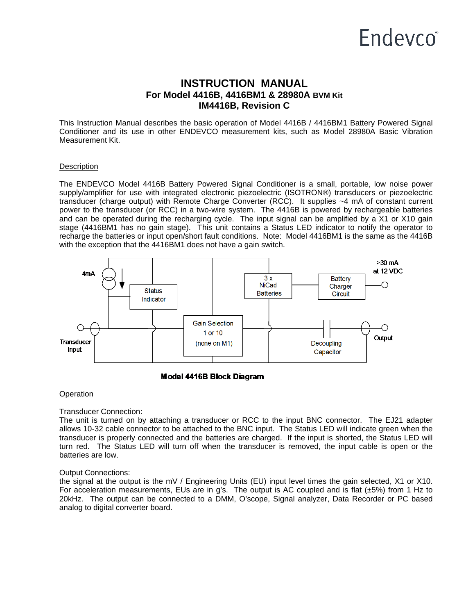# Endevco<sup>®</sup>

# **INSTRUCTION MANUAL For Model 4416B, 4416BM1 & 28980A BVM Kit IM4416B, Revision C**

This Instruction Manual describes the basic operation of Model 4416B / 4416BM1 Battery Powered Signal Conditioner and its use in other ENDEVCO measurement kits, such as Model 28980A Basic Vibration Measurement Kit.

#### **Description**

The ENDEVCO Model 4416B Battery Powered Signal Conditioner is a small, portable, low noise power supply/amplifier for use with integrated electronic piezoelectric (ISOTRON®) transducers or piezoelectric transducer (charge output) with Remote Charge Converter (RCC). It supplies ~4 mA of constant current power to the transducer (or RCC) in a two-wire system. The 4416B is powered by rechargeable batteries and can be operated during the recharging cycle. The input signal can be amplified by a X1 or X10 gain stage (4416BM1 has no gain stage). This unit contains a Status LED indicator to notify the operator to recharge the batteries or input open/short fault conditions. Note: Model 4416BM1 is the same as the 4416B with the exception that the 4416BM1 does not have a gain switch.



#### Model 4416B Block Diagram

#### **Operation**

#### Transducer Connection:

The unit is turned on by attaching a transducer or RCC to the input BNC connector. The EJ21 adapter allows 10-32 cable connector to be attached to the BNC input. The Status LED will indicate green when the transducer is properly connected and the batteries are charged. If the input is shorted, the Status LED will turn red. The Status LED will turn off when the transducer is removed, the input cable is open or the batteries are low.

#### Output Connections:

the signal at the output is the mV / Engineering Units (EU) input level times the gain selected, X1 or X10. For acceleration measurements, EUs are in g's. The output is AC coupled and is flat  $(\pm 5%)$  from 1 Hz to 20kHz. The output can be connected to a DMM, O'scope, Signal analyzer, Data Recorder or PC based analog to digital converter board.